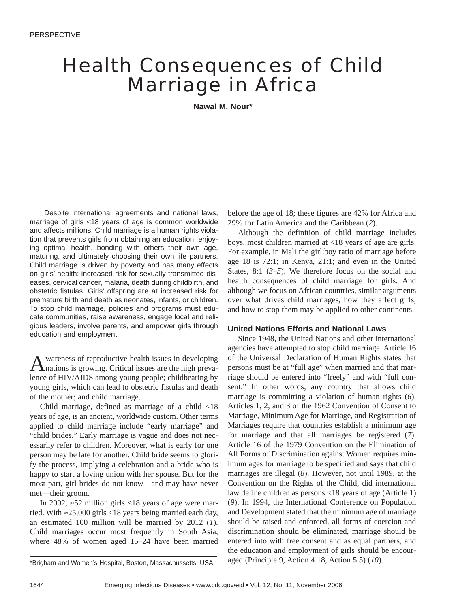# Health Consequences of Child Marriage in Africa

**Nawal M. Nour\***

Despite international agreements and national laws, marriage of girls <18 years of age is common worldwide and affects millions. Child marriage is a human rights violation that prevents girls from obtaining an education, enjoying optimal health, bonding with others their own age, maturing, and ultimately choosing their own life partners. Child marriage is driven by poverty and has many effects on girls' health: increased risk for sexually transmitted diseases, cervical cancer, malaria, death during childbirth, and obstetric fistulas. Girls' offspring are at increased risk for premature birth and death as neonates, infants, or children. To stop child marriage, policies and programs must educate communities, raise awareness, engage local and religious leaders, involve parents, and empower girls through education and employment.

Awareness of reproductive health issues in developing<br>
Anations is growing. Critical issues are the high prevalence of HIV/AIDS among young people; childbearing by young girls, which can lead to obstetric fistulas and death of the mother; and child marriage.

Child marriage, defined as marriage of a child <18 years of age, is an ancient, worldwide custom. Other terms applied to child marriage include "early marriage" and "child brides." Early marriage is vague and does not necessarily refer to children. Moreover, what is early for one person may be late for another. Child bride seems to glorify the process, implying a celebration and a bride who is happy to start a loving union with her spouse. But for the most part, girl brides do not know—and may have never met—their groom.

In 2002,  $\approx$ 52 million girls <18 years of age were married. With ≈25,000 girls <18 years being married each day, an estimated 100 million will be married by 2012 (*1*). Child marriages occur most frequently in South Asia, where 48% of women aged 15–24 have been married before the age of 18; these figures are 42% for Africa and 29% for Latin America and the Caribbean (*2*).

Although the definition of child marriage includes boys, most children married at <18 years of age are girls. For example, in Mali the girl:boy ratio of marriage before age 18 is 72:1; in Kenya, 21:1; and even in the United States, 8:1 (*3*–*5*). We therefore focus on the social and health consequences of child marriage for girls. And although we focus on African countries, similar arguments over what drives child marriages, how they affect girls, and how to stop them may be applied to other continents.

## **United Nations Efforts and National Laws**

Since 1948, the United Nations and other international agencies have attempted to stop child marriage. Article 16 of the Universal Declaration of Human Rights states that persons must be at "full age" when married and that marriage should be entered into "freely" and with "full consent." In other words, any country that allows child marriage is committing a violation of human rights (*6*). Articles 1, 2, and 3 of the 1962 Convention of Consent to Marriage, Minimum Age for Marriage, and Registration of Marriages require that countries establish a minimum age for marriage and that all marriages be registered (*7*). Article 16 of the 1979 Convention on the Elimination of All Forms of Discrimination against Women requires minimum ages for marriage to be specified and says that child marriages are illegal (*8*). However, not until 1989, at the Convention on the Rights of the Child, did international law define children as persons <18 years of age (Article 1) (*9*). In 1994, the International Conference on Population and Development stated that the minimum age of marriage should be raised and enforced, all forms of coercion and discrimination should be eliminated, marriage should be entered into with free consent and as equal partners, and the education and employment of girls should be encouraged (Principle 9, Action 4.18, Action 5.5) (*10*).

<sup>\*</sup>Brigham and Women's Hospital, Boston, Massachussetts, USA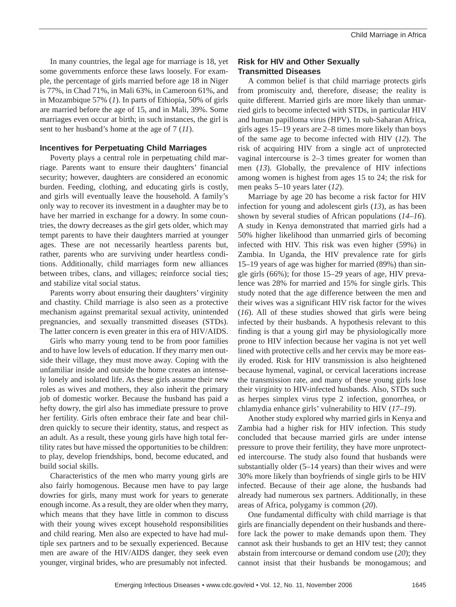In many countries, the legal age for marriage is 18, yet some governments enforce these laws loosely. For example, the percentage of girls married before age 18 in Niger is 77%, in Chad 71%, in Mali 63%, in Cameroon 61%, and in Mozambique 57% (*1*). In parts of Ethiopia, 50% of girls are married before the age of 15, and in Mali, 39%. Some marriages even occur at birth; in such instances, the girl is sent to her husband's home at the age of 7 (*11*).

## **Incentives for Perpetuating Child Marriages**

Poverty plays a central role in perpetuating child marriage. Parents want to ensure their daughters' financial security; however, daughters are considered an economic burden. Feeding, clothing, and educating girls is costly, and girls will eventually leave the household. A family's only way to recover its investment in a daughter may be to have her married in exchange for a dowry. In some countries, the dowry decreases as the girl gets older, which may tempt parents to have their daughters married at younger ages. These are not necessarily heartless parents but, rather, parents who are surviving under heartless conditions. Additionally, child marriages form new alliances between tribes, clans, and villages; reinforce social ties; and stabilize vital social status.

Parents worry about ensuring their daughters' virginity and chastity. Child marriage is also seen as a protective mechanism against premarital sexual activity, unintended pregnancies, and sexually transmitted diseases (STDs). The latter concern is even greater in this era of HIV/AIDS.

Girls who marry young tend to be from poor families and to have low levels of education. If they marry men outside their village, they must move away. Coping with the unfamiliar inside and outside the home creates an intensely lonely and isolated life. As these girls assume their new roles as wives and mothers, they also inherit the primary job of domestic worker. Because the husband has paid a hefty dowry, the girl also has immediate pressure to prove her fertility. Girls often embrace their fate and bear children quickly to secure their identity, status, and respect as an adult. As a result, these young girls have high total fertility rates but have missed the opportunities to be children: to play, develop friendships, bond, become educated, and build social skills.

Characteristics of the men who marry young girls are also fairly homogenous. Because men have to pay large dowries for girls, many must work for years to generate enough income. As a result, they are older when they marry, which means that they have little in common to discuss with their young wives except household responsibilities and child rearing. Men also are expected to have had multiple sex partners and to be sexually experienced. Because men are aware of the HIV/AIDS danger, they seek even younger, virginal brides, who are presumably not infected.

# **Risk for HIV and Other Sexually Transmitted Diseases**

A common belief is that child marriage protects girls from promiscuity and, therefore, disease; the reality is quite different. Married girls are more likely than unmarried girls to become infected with STDs, in particular HIV and human papilloma virus (HPV). In sub-Saharan Africa, girls ages 15–19 years are 2–8 times more likely than boys of the same age to become infected with HIV (*12*). The risk of acquiring HIV from a single act of unprotected vaginal intercourse is 2–3 times greater for women than men (*13*). Globally, the prevalence of HIV infections among women is highest from ages 15 to 24; the risk for men peaks 5–10 years later (*12*).

Marriage by age 20 has become a risk factor for HIV infection for young and adolescent girls (*13*), as has been shown by several studies of African populations (*14*–*16*). A study in Kenya demonstrated that married girls had a 50% higher likelihood than unmarried girls of becoming infected with HIV. This risk was even higher (59%) in Zambia. In Uganda, the HIV prevalence rate for girls 15–19 years of age was higher for married (89%) than single girls (66%); for those 15–29 years of age, HIV prevalence was 28% for married and 15% for single girls. This study noted that the age difference between the men and their wives was a significant HIV risk factor for the wives (*16*). All of these studies showed that girls were being infected by their husbands. A hypothesis relevant to this finding is that a young girl may be physiologically more prone to HIV infection because her vagina is not yet well lined with protective cells and her cervix may be more easily eroded. Risk for HIV transmission is also heightened because hymenal, vaginal, or cervical lacerations increase the transmission rate, and many of these young girls lose their virginity to HIV-infected husbands. Also, STDs such as herpes simplex virus type 2 infection, gonorrhea, or chlamydia enhance girls' vulnerability to HIV (*17*–*19*).

Another study explored why married girls in Kenya and Zambia had a higher risk for HIV infection. This study concluded that because married girls are under intense pressure to prove their fertility, they have more unprotected intercourse. The study also found that husbands were substantially older (5–14 years) than their wives and were 30% more likely than boyfriends of single girls to be HIV infected. Because of their age alone, the husbands had already had numerous sex partners. Additionally, in these areas of Africa, polygamy is common (*20*).

One fundamental difficulty with child marriage is that girls are financially dependent on their husbands and therefore lack the power to make demands upon them. They cannot ask their husbands to get an HIV test; they cannot abstain from intercourse or demand condom use (*20*); they cannot insist that their husbands be monogamous; and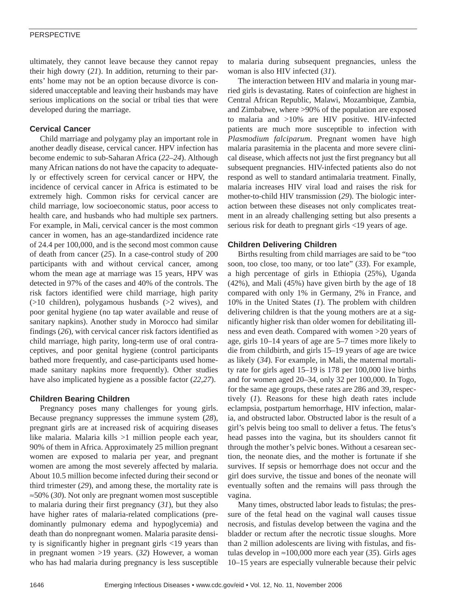## PERSPECTIVE

ultimately, they cannot leave because they cannot repay their high dowry (*21*). In addition, returning to their parents' home may not be an option because divorce is considered unacceptable and leaving their husbands may have serious implications on the social or tribal ties that were developed during the marriage.

## **Cervical Cancer**

Child marriage and polygamy play an important role in another deadly disease, cervical cancer. HPV infection has become endemic to sub-Saharan Africa (*22*–*24*). Although many African nations do not have the capacity to adequately or effectively screen for cervical cancer or HPV, the incidence of cervical cancer in Africa is estimated to be extremely high. Common risks for cervical cancer are child marriage, low socioeconomic status, poor access to health care, and husbands who had multiple sex partners. For example, in Mali, cervical cancer is the most common cancer in women, has an age-standardized incidence rate of 24.4 per 100,000, and is the second most common cause of death from cancer (*25*). In a case-control study of 200 participants with and without cervical cancer, among whom the mean age at marriage was 15 years, HPV was detected in 97% of the cases and 40% of the controls. The risk factors identified were child marriage, high parity (>10 children), polygamous husbands (>2 wives), and poor genital hygiene (no tap water available and reuse of sanitary napkins). Another study in Morocco had similar findings (*26*), with cervical cancer risk factors identified as child marriage, high parity, long-term use of oral contraceptives, and poor genital hygiene (control participants bathed more frequently, and case-participants used homemade sanitary napkins more frequently). Other studies have also implicated hygiene as a possible factor (*22*,*27*).

# **Children Bearing Children**

Pregnancy poses many challenges for young girls. Because pregnancy suppresses the immune system (*28*), pregnant girls are at increased risk of acquiring diseases like malaria. Malaria kills >1 million people each year, 90% of them in Africa. Approximately 25 million pregnant women are exposed to malaria per year, and pregnant women are among the most severely affected by malaria. About 10.5 million become infected during their second or third trimester (*29*), and among these, the mortality rate is ≈50% (*30*). Not only are pregnant women most susceptible to malaria during their first pregnancy (*31*), but they also have higher rates of malaria-related complications (predominantly pulmonary edema and hypoglycemia) and death than do nonpregnant women. Malaria parasite density is significantly higher in pregnant girls <19 years than in pregnant women >19 years. (*32*) However, a woman who has had malaria during pregnancy is less susceptible

to malaria during subsequent pregnancies, unless the woman is also HIV infected (*31*).

The interaction between HIV and malaria in young married girls is devastating. Rates of coinfection are highest in Central African Republic, Malawi, Mozambique, Zambia, and Zimbabwe, where >90% of the population are exposed to malaria and >10% are HIV positive. HIV-infected patients are much more susceptible to infection with *Plasmodium falciparum*. Pregnant women have high malaria parasitemia in the placenta and more severe clinical disease, which affects not just the first pregnancy but all subsequent pregnancies. HIV-infected patients also do not respond as well to standard antimalaria treatment. Finally, malaria increases HIV viral load and raises the risk for mother-to-child HIV transmission (*29*). The biologic interaction between these diseases not only complicates treatment in an already challenging setting but also presents a serious risk for death to pregnant girls <19 years of age.

# **Children Delivering Children**

Births resulting from child marriages are said to be "too soon, too close, too many, or too late" (*33*). For example, a high percentage of girls in Ethiopia (25%), Uganda (42%), and Mali (45%) have given birth by the age of 18 compared with only 1% in Germany, 2% in France, and 10% in the United States (*1*). The problem with children delivering children is that the young mothers are at a significantly higher risk than older women for debilitating illness and even death. Compared with women >20 years of age, girls 10–14 years of age are 5–7 times more likely to die from childbirth, and girls 15–19 years of age are twice as likely (*34*). For example, in Mali, the maternal mortality rate for girls aged 15–19 is 178 per 100,000 live births and for women aged 20–34, only 32 per 100,000. In Togo, for the same age groups, these rates are 286 and 39, respectively (*1*). Reasons for these high death rates include eclampsia, postpartum hemorrhage, HIV infection, malaria, and obstructed labor. Obstructed labor is the result of a girl's pelvis being too small to deliver a fetus. The fetus's head passes into the vagina, but its shoulders cannot fit through the mother's pelvic bones. Without a cesarean section, the neonate dies, and the mother is fortunate if she survives. If sepsis or hemorrhage does not occur and the girl does survive, the tissue and bones of the neonate will eventually soften and the remains will pass through the vagina.

Many times, obstructed labor leads to fistulas; the pressure of the fetal head on the vaginal wall causes tissue necrosis, and fistulas develop between the vagina and the bladder or rectum after the necrotic tissue sloughs. More than 2 million adolescents are living with fistulas, and fistulas develop in ≈100,000 more each year (*35*). Girls ages 10–15 years are especially vulnerable because their pelvic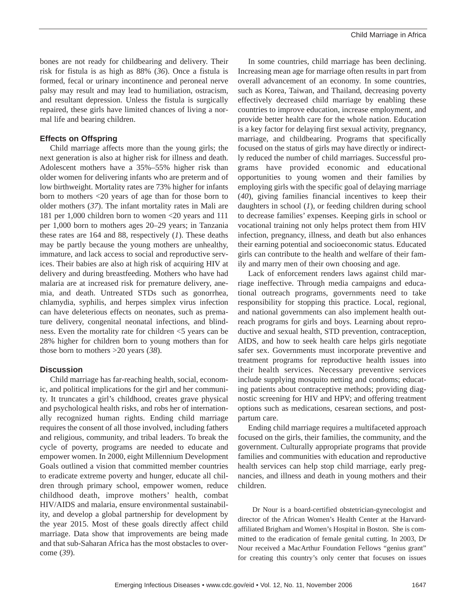bones are not ready for childbearing and delivery. Their risk for fistula is as high as 88% (*36*). Once a fistula is formed, fecal or urinary incontinence and peroneal nerve palsy may result and may lead to humiliation, ostracism, and resultant depression. Unless the fistula is surgically repaired, these girls have limited chances of living a normal life and bearing children.

## **Effects on Offspring**

Child marriage affects more than the young girls; the next generation is also at higher risk for illness and death. Adolescent mothers have a 35%–55% higher risk than older women for delivering infants who are preterm and of low birthweight. Mortality rates are 73% higher for infants born to mothers <20 years of age than for those born to older mothers (*37*). The infant mortality rates in Mali are 181 per 1,000 children born to women <20 years and 111 per 1,000 born to mothers ages 20–29 years; in Tanzania these rates are 164 and 88, respectively (*1*). These deaths may be partly because the young mothers are unhealthy, immature, and lack access to social and reproductive services. Their babies are also at high risk of acquiring HIV at delivery and during breastfeeding. Mothers who have had malaria are at increased risk for premature delivery, anemia, and death. Untreated STDs such as gonorrhea, chlamydia, syphilis, and herpes simplex virus infection can have deleterious effects on neonates, such as premature delivery, congenital neonatal infections, and blindness. Even the mortality rate for children <5 years can be 28% higher for children born to young mothers than for those born to mothers >20 years (*38*).

## **Discussion**

Child marriage has far-reaching health, social, economic, and political implications for the girl and her community. It truncates a girl's childhood, creates grave physical and psychological health risks, and robs her of internationally recognized human rights. Ending child marriage requires the consent of all those involved, including fathers and religious, community, and tribal leaders. To break the cycle of poverty, programs are needed to educate and empower women. In 2000, eight Millennium Development Goals outlined a vision that committed member countries to eradicate extreme poverty and hunger, educate all children through primary school, empower women, reduce childhood death, improve mothers' health, combat HIV/AIDS and malaria, ensure environmental sustainability, and develop a global partnership for development by the year 2015. Most of these goals directly affect child marriage. Data show that improvements are being made and that sub-Saharan Africa has the most obstacles to overcome (*39*).

In some countries, child marriage has been declining. Increasing mean age for marriage often results in part from overall advancement of an economy. In some countries, such as Korea, Taiwan, and Thailand, decreasing poverty effectively decreased child marriage by enabling these countries to improve education, increase employment, and provide better health care for the whole nation. Education is a key factor for delaying first sexual activity, pregnancy, marriage, and childbearing. Programs that specifically focused on the status of girls may have directly or indirectly reduced the number of child marriages. Successful programs have provided economic and educational opportunities to young women and their families by employing girls with the specific goal of delaying marriage (*40*), giving families financial incentives to keep their daughters in school (*1*), or feeding children during school to decrease families' expenses. Keeping girls in school or vocational training not only helps protect them from HIV infection, pregnancy, illness, and death but also enhances their earning potential and socioeconomic status. Educated girls can contribute to the health and welfare of their family and marry men of their own choosing and age.

Lack of enforcement renders laws against child marriage ineffective. Through media campaigns and educational outreach programs, governments need to take responsibility for stopping this practice. Local, regional, and national governments can also implement health outreach programs for girls and boys. Learning about reproductive and sexual health, STD prevention, contraception, AIDS, and how to seek health care helps girls negotiate safer sex. Governments must incorporate preventive and treatment programs for reproductive health issues into their health services. Necessary preventive services include supplying mosquito netting and condoms; educating patients about contraceptive methods; providing diagnostic screening for HIV and HPV; and offering treatment options such as medications, cesarean sections, and postpartum care.

Ending child marriage requires a multifaceted approach focused on the girls, their families, the community, and the government. Culturally appropriate programs that provide families and communities with education and reproductive health services can help stop child marriage, early pregnancies, and illness and death in young mothers and their children.

Dr Nour is a board-certified obstetrician-gynecologist and director of the African Women's Health Center at the Harvardaffiliated Brigham and Women's Hospital in Boston. She is committed to the eradication of female genital cutting. In 2003, Dr Nour received a MacArthur Foundation Fellows "genius grant" for creating this country's only center that focuses on issues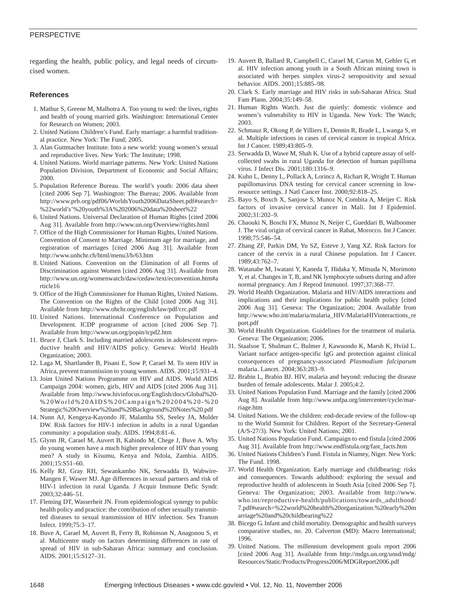## PERSPECTIVE

regarding the health, public policy, and legal needs of circumcised women.

#### **References**

- 1. Mathur S, Greene M, Malhotra A. Too young to wed: the lives, rights and health of young married girls. Washington: International Center for Research on Women; 2003.
- 2. United Nations Children's Fund. Early marriage: a harmful traditional practice. New York: The Fund; 2005.
- 3. Alan Guttmacher Institute. Into a new world: young women's sexual and reproductive lives. New York: The Institute; 1998.
- 4. United Nations. World marriage patterns. New York: United Nations Population Division, Department of Economic and Social Affairs; 2000.
- 5. Population Reference Bureau. The world's youth: 2006 data sheet [cited 2006 Sep 7]. Washington: The Bureau; 2006. Available from http://www.prb.org/pdf06/WorldsYouth2006DataSheet.pdf#search= %22world's'%20youth%3A%202006%20data%20sheet%22
- 6. United Nations. Universal Declaration of Human Rights [cited 2006 Aug 31]. Available from http://www.un.org/Overview/rights.html
- 7. Office of the High Commissioner for Human Rights, United Nations. Convention of Consent to Marriage. Minimum age for marriage, and registration of marriages [cited 2006 Aug 31]. Available from http://www.unhchr.ch/html/menu3/b/63.htm
- 8. United Nations. Convention on the Elimination of all Forms of Discrimination against Women [cited 2006 Aug 31]. Available from http://www.un.org/womenwatch/daw/cedaw/text/econvention.htm#a rticle16
- 9. Office of the High Commissioner for Human Rights, United Nations. The Convention on the Rights of the Child [cited 2006 Aug 31]. Available from http://www.ohchr.org/english/law/pdf/crc.pdf
- 10. United Nations. International Conference on Population and Development. ICDP programme of action [cited 2006 Sep 7]. Available from http://www.un.org/popin/icpd2.htm
- 11. Bruce J, Clark S. Including married adolescents in adolescent reproductive health and HIV/AIDS policy. Geneva: World Health Organization; 2003.
- 12. Laga M, Shartlander B, Pisani E, Sow P, Carael M. To stem HIV in Africa, prevent transmission to young women. AIDS. 2001;15:931–4.
- 13. Joint United Nations Programme on HIV and AIDS. World AIDS Campaign 2004: women, girls, HIV and AIDS [cited 2006 Aug 31]. Available from http://www.hivinfocus.org/English/docs/Global%20- %20World%20AIDS%20Campaign%202004%20-%20 Strategic%20Overview%20and%20Background%20Notes%20.pdf
- 14. Nunn AJ, Kengeya-Kayondo JF, Malamba SS, Seeley JA, Mulder DW. Risk factors for HIV-1 infection in adults in a rural Ugandan community: a population study. AIDS. 1994;8:81–6.
- 15. Glynn JR, Carael M, Auvert B, Kahindo M, Chege J, Buve A. Why do young women have a much higher prevalence of HIV than young men? A study in Kisumu, Kenya and Ndola, Zambia. AIDS. 2001;15:S51–60.
- 16. Kelly RJ, Gray RH, Sewankambo NK, Serwadda D, Wabwire-Mangen F, Wawer MJ. Age differences in sexual partners and risk of HIV-1 infection in rural Uganda. J Acquir Immune Defic Syndr. 2003;32:446–51.
- 17. Fleming DT, Wasserheit JN. From epidemiological synergy to public health policy and practice: the contribution of other sexually transmitted diseases to sexual transmission of HIV infection. Sex Transm Infect. 1999;75:3–17.
- 18. Buve A, Carael M, Auvert B, Ferry B, Robinson N, Anagonou S, et al. Multicentre study on factors determining differences in rate of spread of HIV in sub-Saharan Africa: summary and conclusion. AIDS. 2001;15:S127–31.
- 19. Auvert B, Ballard R, Campbell C, Carael M, Carton M, Gehler G, et al. HIV infection among youth in a South African mining town is associated with herpes simplex virus-2 seropositivity and sexual behavior. AIDS. 2001;15:885–98.
- 20. Clark S. Early marriage and HIV risks in sub-Saharan Africa. Stud Fam Plann. 2004;35:149–58.
- 21. Human Rights Watch. Just die quietly: domestic violence and women's vulnerability to HIV in Uganda. New York: The Watch; 2003.
- 22. Schmauz R, Okong P, de Yilliers E, Dennin R, Brade L, Lwanga S, et al. Multiple infections in cases of cervical cancer in tropical Africa. Int J Cancer. 1989;43:805–9.
- 23. Serwadda D, Wawe M, Shah K. Use of a hybrid capture assay of selfcollected swabs in rural Uganda for detection of human papilloma virus. J Infect Dis. 2001;180:1316–9.
- 24. Kuhn L, Denny L, Pollack A, Lorincz A, Richart R, Wright T. Human papillomavirus DNA testing for cervical cancer screening in lowresource settings. J Natl Cancer Inst. 2000;92:818–25.
- 25. Bayo S, Boxch X, Sanjose S, Munoz N, Combita A, Meijer C. Risk factors of invasive cervical cancer in Mali. Int J Epidemiol. 2002;31:202–9.
- 26. Chaouki N, Boschi FX, Munoz N, Neijer C, Gueddari B, Walboomer J. The viral origin of cervical cancer in Rabat, Morocco. Int J Cancer. 1998;75:546–54.
- 27. Zhang ZF, Parkin DM, Yu SZ, Esteve J, Yang XZ. Risk factors for cancer of the cervix in a rural Chinese population. Int J Cancer. 1989;43:762–7.
- 28. Watanabe M, Iwatani Y, Kaneda T, Hidaka Y, Mitsuda N, Morimoto Y, et al. Changes in T, B, and NK lymphocyte subsets during and after normal pregnancy. Am J Reprod Immunol. 1997;37:368–77.
- 29. World Health Organization. Malaria and HIV/AIDS interactions and implications and their implications for public health policy [cited 2006 Aug 31]. Geneva: The Organization; 2004. Available from http://www.who.int/malaria/malaria\_HIV/MalariaHIVinteractions\_re port.pdf
- 30. World Health Organization. Guidelines for the treatment of malaria. Geneva: The Organization; 2006.
- 31. Staalsoe T, Shulman C, Bulmer J, Kawuondo K, Marsh K, Hviid L. Variant surface antigen-specific IgG and protection against clinical consequences of pregnancy-associated *Plasmodium falciparum* malaria. Lancet. 2004;363:283–9.
- 32. Brabin L, Brabin BJ. HIV, malaria and beyond: reducing the disease burden of female adolescents. Malar J. 2005;4:2.
- 33. United Nations Population Fund. Marriage and the family [cited 2006 Aug 8]. Available from http://www.unfpa.org/intercenter/cycle/marriage.htm
- 34. United Nations. We the children: end-decade review of the follow-up to the World Summit for Children. Report of the Secretary-General (A/S-27/3). New York: United Nations; 2001.
- 35. United Nations Population Fund. Campaign to end fistula [cited 2006 Aug 31]. Available from http://www.endfistula.org/fast\_facts.htm
- 36. United Nations Children's Fund. Fistula in Niamey, Niger. New York: The Fund. 1998.
- 37. World Health Organization. Early marriage and childbearing: risks and consequences. Towards adulthood: exploring the sexual and reproductive health of adolescents in South Asia [cited 2006 Sep 7]. Geneva: The Organization; 2003. Available from http://www. who.int/reproductive-health/publications/towards\_adulthood/ 7.pdf#search=%22world%20health%20organization.%20early%20m arriage%20and%20childbearing%22
- 38. Bicego G. Infant and child mortality. Demographic and health surveys comparative studies, no. 20. Calverton (MD): Macro International; 1996.
- 39. United Nations. The millennium development goals report 2006 [cited 2006 Aug 31]. Available from http://mdgs.un.org/unsd/mdg/ Resources/Static/Products/Progress2006/MDGReport2006.pdf